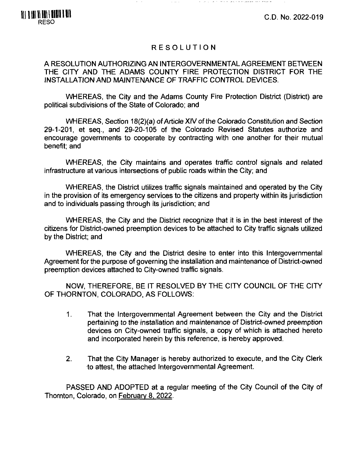C.D. No. 2022-019

# RESOLUTION

## A RESOLUTION AUTHORIZING AN INTERGOVERNMENTAL AGREEMENT BETWEEN THE CITY AND THE ADAMS COUNTY FIRE PROTECTION DISTRICT FOR THE INSTALLATION AND MAINTENANCE OF TRAFFIC CONTROL DEVICES.

WHEREAS, the City and the Adams County Fire Protection District (District) are political subdivisions of the State of Colorado; and

WHEREAS, Section 18(2)(a) of Article XIV of the Colorado Constitution and Section 29-1-201, et seq., and 29-20-105 of the Colorado Revised Statutes authorize and encourage governments to cooperate by contracting with one another for their mutual benefit; and

WHEREAS, the City maintains and operates traffic control signals and related infrastructure at various intersections of public roads within the City; and

WHEREAS, the District utilizes traffic signals maintained and operated by the City in the provision of its emergency services to the citizens and property within its jurisdiction and to individuals passing through its jurisdiction; and

WHEREAS, the City and the District recognize that it is in the best interest of the citizens for District-owned preemption devices to be attached to City traffic signals utilized by the District; and

WHEREAS, the City and the District desire to enter into this Intergovernmental Agreement for the purpose of governing the installation and maintenance of District-owned preemption devices attached to City-owned traffic signals.

NOW, THEREFORE, BE IT RESOLVED BY THE CITY COUNCIL OF THE CITY OF THORNTON, COLORADO, AS FOLLOWS:

- 1. That the Intergovernmental Agreement between the City and the District pertaining to the installation and maintenance of District-owned preemption devices on City-owned traffic signals, a copy of which is attached hereto and incorporated herein by this reference, is hereby approved.
- 2. That the City Manager is hereby authorized to execute, and the City Clerk to attest, the attached Intergovernmental Agreement.

PASSED AND ADOPTED at a regular meeting of the City Council of the City of Thornton, Colorado, on February 8. 2022.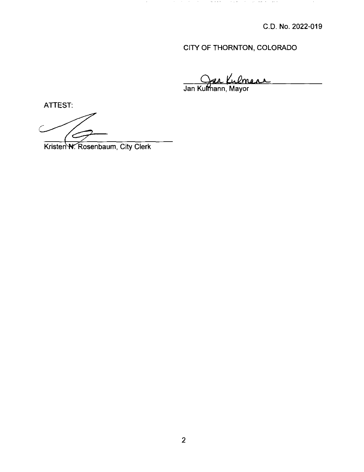# CITY OF THORNTON, COLORADO

*^LJI\*

. The second construction of the second constraints of the second constraint  $\epsilon$ 

Jan Ku ƙu**lm**ann, Mayor

ATTEST:

C

Kristen N. Rosenbaum, City Clerk

 $\langle \sigma \rangle$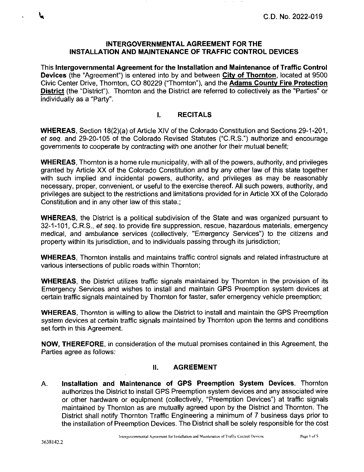This Intergovernmental Agreement for the Installation and Maintenance of Traffic Control Devices (the "Agreement") is entered into by and between City of Thornton, located at 9500 Civic Center Drive, Thornton, CO 80229 ("Thornton"), and the Adams County Fire Protection District (the "District"). Thornton and the District are referred to collectively as the "Parties" or individually as a "Party".

# **I. RECITALS**

WHEREAS, Section 18(2)(a) of Article XIV of the Colorado Constitution and Sections 29-1-201, et seq. and 29-20-105 of the Colorado Revised Statutes ("C.R.S.") authorize and encourage governments to cooperate by contracting with one another for their mutual benefit;

WHEREAS, Thornton is a home rule municipality, with all of the powers, authority, and privileges granted by Article XX of the Colorado Constitution and by any other law of this state together with such implied and incidental powers, authority, and privileges as may be reasonably necessary, proper, convenient, or useful to the exercise thereof. All such powers, authority, and privileges are subject to the restrictions and limitations provided for in Article XX of the Colorado Constitution and in any other law of this state.;

WHEREAS, the District is a political subdivision of the State and was organized pursuant to 32-1-101, C.R.S., et seq. to provide fire suppression, rescue, hazardous materials, emergency medical, and ambulance services (collectively, "Emergency Services") to the citizens and property within its jurisdiction, and to individuals passing through its jurisdiction;

WHEREAS, Thornton installs and maintains traffic control signals and related infrastructure at various intersections of public roads within Thornton;

WHEREAS, the District utilizes traffic signals maintained by Thornton in the provision of its Emergency Services and wishes to install and maintain GPS Preemption system devices at certain traffic signals maintained by Thornton for faster, safer emergency vehicle preemption;

WHEREAS, Thornton is willing to allow the District to install and maintain the GPS Preemption system devices at certain traffic signals maintained by Thornton upon the terms and conditions set forth in this Agreement.

NOW, THEREFORE, in consideration of the mutual promises contained in this Agreement, the Parties agree as follows;

# **II. AGREEMENT**

A. Installation and Maintenance of GPS Preemption System Devices. Thornton authorizes the District to install GPS Preemption system devices and any associated wire or other hardware or equipment (collectively, "Preemption Devices") at traffic signals maintained by Thornton as are mutually agreed upon by the District and Thornton. The District shall notify Thornton Traffic Engineering a minimum of 7 business days prior to the installation of Preemption Devices. The District shall be solely responsible for the cost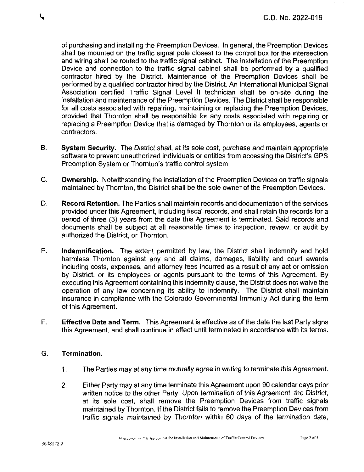of purchasing and installing the Preemption Devices. In general, the Preemption Devices shall be mounted on the traffic signal pole closest to the control box for the intersection and wiring shall be routed to the traffic signal cabinet. The installation of the Preemption Device and connection to the traffic signal cabinet shall be performed by a qualified contractor hired by the District. Maintenance of the Preemption Devices shall be performed by a qualified contractor hired by the District. An International Municipal Signal Association certified Traffic Signal Level II technician shall be on-site during the installation and maintenance of the Preemption Devices. The District shall be responsible for all costs associated with repairing, maintaining or replacing the Preemption Devices, provided that Thornton shall be responsible for any costs associated with repairing or replacing a Preemption Device that is damaged by Thornton or its employees, agents or contractors.

- B. System Security. The District shall, at its sole cost, purchase and maintain appropriate software to prevent unauthorized individuals or entities from accessing the District's GPS Preemption System or Thornton's traffic control system.
- C. Ownership. Notwithstanding the installation of the Preemption Devices on traffic signals maintained by Thornton, the District shall be the sole owner of the Preemption Devices.
- D. Record Retention. The Parties shall maintain records and documentation of the services provided under this Agreement, including fiscal records, and shall retain the records for a period of three (3) years from the date this Agreement is terminated. Said records and documents shall be subject at all reasonable times to inspection, review, or audit by authorized the District, or Thornton.
- E. Indemnification. The extent permitted by law, the District shall indemnify and hold harmless Thornton against any and all claims, damages, liability and court awards including costs, expenses, and attorney fees incurred as a result of any act or omission by District, or its employees or agents pursuant to the terms of this Agreement. By executing this Agreement containing this indemnity clause, the District does not waive the operation of any law concerning its ability to indemnify. The District shall maintain insurance in compliance with the Colorado Governmental Immunity Act during the term of this Agreement.
- F. Effective Date and Term. This Agreement is effective as of the date the last Party signs this Agreement, and shall continue in effect until terminated in accordance with its terms.

## **G. Termination.**

- 1. The Parties may at any time mutually agree in writing to terminate this Agreement.
- 2. Either Party may at any time terminate this Agreement upon 90 calendar days prior written notice to the other Party. Upon termination of this Agreement, the District, at its sole cost, shall remove the Preemption Devices from traffic signals maintained by Thornton. If the District fails to remove the Preemption Devices from traffic signals maintained by Thornton within 60 days of the termination date.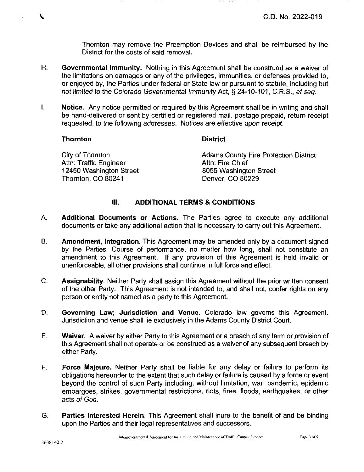Thornton may remove the Preemption Devices and shall be reimbursed by the District for the costs of said removal.

 $\sim 10^{10}$  and  $\sim 10^{10}$ 

- *H. Governmental Immunity. Nothing in this Agreement shall be construed as a waiver of the limitations on damages or any of the privileges, immunities, or defenses provided to, or enjoyed by, the Parties under federal or State law or pursuant to statute, including but not limited to the Colorado Governmental Immunity Act, § 24-10-101, C.R.S., et seq.*
- I. Notice. Any notice permitted or required by this Agreement shall be in writing and shall be hand-delivered or sent by certified or registered mail, postage prepaid, return receipt requested, to the following addresses. Notices are effective upon receipt.

#### **Thornton District**

| City of Thornton        | <b>Adams County Fire Protection District</b> |
|-------------------------|----------------------------------------------|
| Attn: Traffic Engineer  | Attn: Fire Chief                             |
| 12450 Washington Street | 8055 Washington Street                       |
| Thornton, CO 80241      | Denver, CO 80229                             |

#### **III. ADDITIONAL TERMS & CONDITIONS**

- A. Additional Documents or Actions. The Parties agree to execute any additional documents or take any additional action that is necessary to carry out this Agreement.
- B. Amendment, Integration. This Agreement may be amended only by a document signed by the Parties. Course of performance, no matter how long, shall not constitute an amendment to this Agreement. If any provision of this Agreement is held invalid or unenforceable, all other provisions shall continue in full force and effect.
- C. Assignability. Neither Party shall assign this Agreement without the prior written consent of the other Party. This Agreement is not intended to, and shall not, confer rights on any person or entity not named as a party to this Agreement.
- D. Governing Law; Jurisdiction and Venue. Colorado law governs this Agreement. Jurisdiction and venue shall lie exclusively in the Adams County District Court.
- E. Waiver. A waiver by either Party to this Agreement or a breach of any term or provision of this Agreement shall not operate or be construed as a waiver of any subsequent breach by either Party.
- F. Force Majeure. Neither Party shall be liable for any delay or failure to perform its obligations hereunder to the extent that such delay or failure is caused by a force or event beyond the control of such Party including, without limitation, war, pandemic, epidemic embargoes, strikes, governmental restrictions, riots, fires, floods, earthquakes, or other acts of God.
- G. Parties Interested Herein. This Agreement shall inure to the benefit of and be binding upon the Parties and their legal representatives and successors.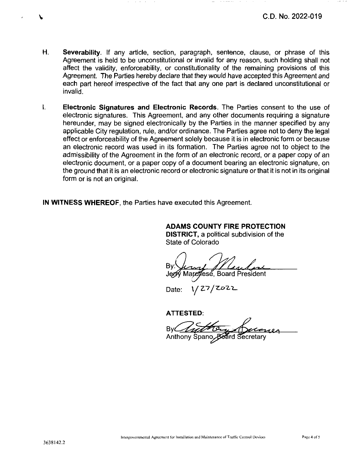- H. Severability. If any articie, section, paragraph, sentence, clause, or phrase of this Agreement is held to be unconstitutional or invalid for any reason, such holding shall not affect the validity, enforceability, or constitutionality of the remaining provisions of this Agreement. The Parties hereby declare that they would have accepted this Agreement and each part hereof irrespective of the fact that any one part is declared unconstitutional or invalid.
- $\mathbf{L}$ Electronic Signatures and Electronic Records. The Parties consent to the use of electronic signatures. This Agreement, and any other documents requiring a signature hereunder, may be signed electronically by the Parties in the manner specified by any applicable City regulation, rule, and/or ordinance. The Parties agree not to deny the legal effect or enforceability of the Agreement solely because it is in electronic form or because an electronic record was used in its formation. The Parties agree not to object to the admissibility of the Agreement in the form of an electronic record, or a paper copy of an electronic document, or a paper copy of a document bearing an electronic signature, on the ground that it is an electronic record or electronic signature or that it is not in its original form or is not an original.

IN WITNESS WHEREOF, the Parties have executed this Agreement.

ADAMS COUNTY FIRE PROTECTION DISTRICT, a political subdivision of the State of Colorado

 $\sigma$  , where  $\sigma$  ,

By: Marchese. Board President

Date:  $1/27$ 

**ATTESTED:**

Anthony Spano, Board Secretary